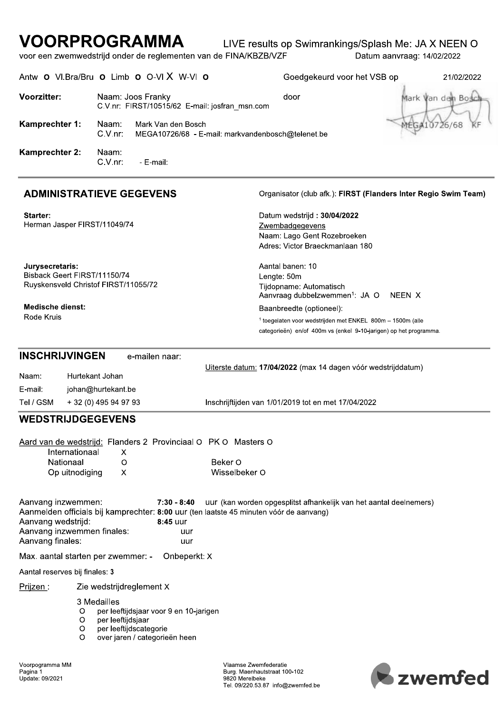## LIVE results op Swimrankings/Splash Me: JA X NEEN O

|                                                                                            | voor een zwemwedstrijd onder de reglementen van de FINA/KBZB/VZF                                                                      |                                                   |                                                                                                                                                                        | Datum aanvraag: 14/02/2022 |
|--------------------------------------------------------------------------------------------|---------------------------------------------------------------------------------------------------------------------------------------|---------------------------------------------------|------------------------------------------------------------------------------------------------------------------------------------------------------------------------|----------------------------|
|                                                                                            | Antw O VI.Bra/Bru O Limb O O-VI X W-VI O                                                                                              |                                                   | Goedgekeurd voor het VSB op                                                                                                                                            | 21/02/2022                 |
| <b>Voorzitter:</b>                                                                         | Naam: Joos Franky<br>C.V.nr: FIRST/10515/62 E-mail: josfran_msn.com                                                                   |                                                   | door                                                                                                                                                                   | Mark Van den Bos           |
| Kamprechter 1:                                                                             | Naam:<br>Mark Van den Bosch<br>$C.V.nr$ :                                                                                             | MEGA10726/68 - E-mail: markvandenbosch@telenet.be |                                                                                                                                                                        | MEGA10726/68               |
| <b>Kamprechter 2:</b>                                                                      | Naam:<br>$C.V.nr$ :<br>- E-mail:                                                                                                      |                                                   |                                                                                                                                                                        |                            |
|                                                                                            | <b>ADMINISTRATIEVE GEGEVENS</b>                                                                                                       |                                                   | Organisator (club afk.): FIRST (Flanders Inter Regio Swim Team)                                                                                                        |                            |
| Starter:<br>Herman Jasper FIRST/11049/74                                                   |                                                                                                                                       |                                                   | Datum wedstrijd: 30/04/2022<br>Zwembadgegevens<br>Naam: Lago Gent Rozebroeken<br>Adres: Victor Braeckmanlaan 180                                                       |                            |
| Jurysecretaris:<br>Bisback Geert FIRST/11150/74                                            | Ruyskensveld Christof FIRST/11055/72                                                                                                  | Lengte: 50m                                       | Aantal banen: 10<br>Tijdopname: Automatisch<br>Aanvraag dubbelzwemmen <sup>1</sup> : JA O                                                                              | NEEN X                     |
| <b>Medische dienst:</b><br>Rode Kruis                                                      |                                                                                                                                       |                                                   | Baanbreedte (optioneel):<br><sup>1</sup> toegelaten voor wedstrijden met ENKEL 800m - 1500m (alle<br>categorieën) en/of 400m vs (enkel 9-10-jarigen) op het programma. |                            |
| <b>INSCHRIJVINGEN</b><br>Naam:<br>E-mail:<br>Tel / GSM                                     | e-mailen naar:<br>Hurtekant Johan<br>johan@hurtekant.be<br>+ 32 (0) 495 94 97 93                                                      |                                                   | Uiterste datum: 17/04/2022 (max 14 dagen vóór wedstrijddatum)<br>Inschrijftijden van 1/01/2019 tot en met 17/04/2022                                                   |                            |
| <b>WEDSTRIJDGEGEVENS</b>                                                                   |                                                                                                                                       |                                                   |                                                                                                                                                                        |                            |
| Internationaal<br>Nationaal<br>Op uitnodiging                                              | Aard van de wedstrijd: Flanders 2 Provinciaal O PK O Masters O<br>х<br>O<br>X.                                                        | Beker O<br>Wisselbeker O                          |                                                                                                                                                                        |                            |
| Aanvang inzwemmen:<br>Aanvang wedstrijd:<br>Aanvang inzwemmen finales:<br>Aanvang finales: | $7:30 - 8:40$<br>Aanmelden officials bij kamprechter: 8:00 uur (ten laatste 45 minuten vóór de aanvang)<br>8:45 uur<br>uur<br>uur     |                                                   | uur (kan worden opgesplitst afhankelijk van het aantal deelnemers)                                                                                                     |                            |
| Max. aantal starten per zwemmer: -                                                         | Onbeperkt: X                                                                                                                          |                                                   |                                                                                                                                                                        |                            |
| Aantal reserves bij finales: 3                                                             |                                                                                                                                       |                                                   |                                                                                                                                                                        |                            |
| Prijzen :                                                                                  | Zie wedstrijdreglement X                                                                                                              |                                                   |                                                                                                                                                                        |                            |
| O<br>O<br>O<br>O                                                                           | 3 Medailles<br>per leeftijdsjaar voor 9 en 10-jarigen<br>per leeftijdsjaar<br>per leeftijdscategorie<br>over jaren / categorieën heen |                                                   |                                                                                                                                                                        |                            |

Vlaamse Zwemfederatie<br>Burg. Maenhautstraat 100-102<br>9820 Merelbeke<br>Tel. 09/220.53.87 info@zwemfed.be

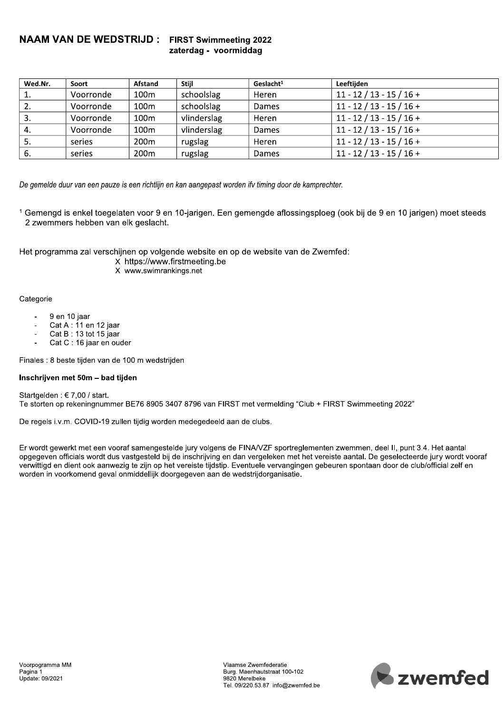## **NAAM VAN DE WEDSTRIJD:** FIRST Swimmeeting 2022

## zaterdag - voormiddag

| Wed.Nr. | Soort     | <b>Afstand</b>   | <b>Stiil</b> | $G$ eslacht <sup>1</sup> | Leeftijden                 |
|---------|-----------|------------------|--------------|--------------------------|----------------------------|
|         | Voorronde | 100 <sub>m</sub> | schoolslag   | Heren                    | $11 - 12 / 13 - 15 / 16 +$ |
| 2.      | Voorronde | 100 <sub>m</sub> | schoolslag   | Dames                    | $11 - 12 / 13 - 15 / 16 +$ |
| 3.      | Voorronde | 100 <sub>m</sub> | vlinderslag  | Heren                    | $11 - 12 / 13 - 15 / 16 +$ |
| 4.      | Voorronde | 100 <sub>m</sub> | vlinderslag  | Dames                    | $11 - 12 / 13 - 15 / 16 +$ |
| 5.      | series    | 200 <sub>m</sub> | rugslag      | Heren                    | $11 - 12 / 13 - 15 / 16 +$ |
| -6.     | series    | 200 <sub>m</sub> | rugslag      | Dames                    | $11 - 12 / 13 - 15 / 16 +$ |

De gemelde duur van een pauze is een richtlijn en kan aangepast worden ifv timing door de kamprechter.

<sup>1</sup> Gemengd is enkel toegelaten voor 9 en 10-jarigen. Een gemengde aflossingsploeg (ook bij de 9 en 10 jarigen) moet steeds 2 zwemmers hebben van elk geslacht.

Het programma zal verschijnen op volgende website en op de website van de Zwemfed:

- X https://www.firstmeeting.be
- X www.swimrankings.net

#### Categorie

- 9 en 10 iaar
- Cat A : 11 en 12 jaar  $\overline{a}$
- Cat B: 13 tot 15 jaar J.
- Cat C: 16 jaar en ouder

Finales : 8 beste tijden van de 100 m wedstrijden

#### Inschrijven met 50m - bad tijden

Startgelden: €7.00 / start. Te storten op rekeningnummer BE76 8905 3407 8796 van FIRST met vermelding "Club + FIRST Swimmeeting 2022"

De regels i.v.m. COVID-19 zullen tijdig worden medegedeeld aan de clubs.

Er wordt gewerkt met een vooraf samengestelde jury volgens de FINA/VZF sportreglementen zwemmen, deel II, punt 3.4. Het aantal opgegeven officials wordt dus vastgesteld bij de inschrijving en dan vergeleken met het vereiste aantal. De geselecteerde jury wordt vooraf verwittigd en dient ook aanwezig te zijn op het vereiste tijdstip. Eventuele vervangingen gebeuren spontaan door de club/official zelf en worden in voorkomend geval onmiddellijk doorgegeven aan de wedstrijdorganisatie.

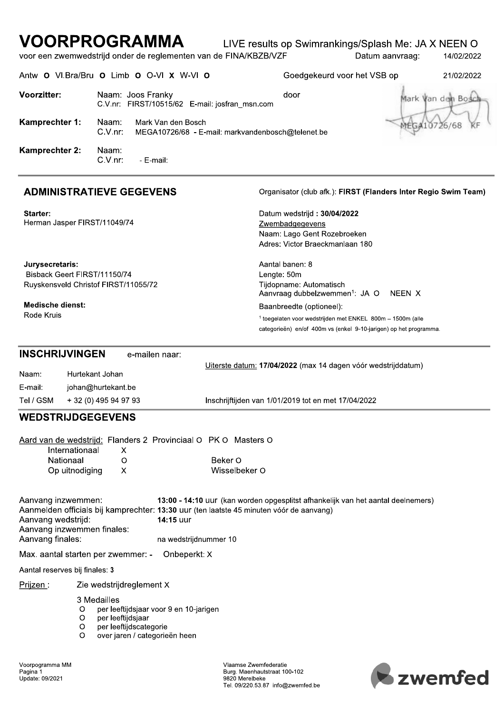## LIVE results op Swimrankings/Splash Me: JA X NEEN O

voor een zwemwedstrijd onder de reglementen van de FINA/KBZB/VZF Datum aanvraag: 14/02/2022

Antw O VI.Bra/Bru O Limb O O-VI X W-VI O Goedgekeurd voor het VSB op 21/02/2022 Voorzitter: Naam: Joos Franky door Mark Van den Bos C.V.nr: FIRST/10515/62 E-mail: josfran\_msn.com Kamprechter 1: Naam: Mark Van den Bosch 26/68 C.V.nr: MEGA10726/68 - E-mail: markvandenbosch@telenet.be Kamprechter 2: Naam: C.V.nr: - E-mail:

## **ADMINISTRATIEVE GEGEVENS**

Starter: Herman Jasper FIRST/11049/74

Jurysecretaris: Bisback Geert FIRST/11150/74

Rode Kruis

#### Organisator (club afk.): FIRST (Flanders Inter Regio Swim Team)

Datum wedstrijd: 30/04/2022 Zwembadgegevens Naam: Lago Gent Rozebroeken Adres: Victor Braeckmanlaan 180

Ruyskensveld Christof FIRST/11055/72

**Medische dienst:** 

Aantal banen: 8 Lengte: 50m Tijdopname: Automatisch Aanvraag dubbelzwemmen<sup>1</sup>: JA O NEEN X Baanbreedte (optioneel):

<sup>1</sup> toegelaten voor wedstrijden met ENKEL 800m - 1500m (alle categorieën) en/of 400m vs (enkel 9-10-jarigen) op het programma.

|           | <b>INSCHRIJVINGEN</b><br>e-mailen naar: |                                                               |
|-----------|-----------------------------------------|---------------------------------------------------------------|
| Naam:     | Hurtekant Johan                         | Uiterste datum: 17/04/2022 (max 14 dagen vóór wedstrijddatum) |
| E-mail:   | johan@hurtekant.be                      |                                                               |
| Tel / GSM | + 32 (0) 495 94 97 93                   | Inschrijftijden van 1/01/2019 tot en met 17/04/2022           |

## **WEDSTRIJDGEGEVENS**

|                                                              |                                                                                                           | Aard van de wedstrijd: Flanders 2 Provinciaal O PK O Masters O                                                                                                                                                    |
|--------------------------------------------------------------|-----------------------------------------------------------------------------------------------------------|-------------------------------------------------------------------------------------------------------------------------------------------------------------------------------------------------------------------|
|                                                              | Internationaal<br>X                                                                                       |                                                                                                                                                                                                                   |
| Nationaal                                                    | O                                                                                                         | Beker O                                                                                                                                                                                                           |
|                                                              | Op uitnodiging<br>X                                                                                       | Wisselbeker O                                                                                                                                                                                                     |
| Aanvang inzwemmen:<br>Aanvang wedstrijd:<br>Aanvang finales: | Aanvang inzwemmen finales:                                                                                | 13:00 - 14:10 uur (kan worden opgesplitst afhankelijk van het aantal deelnemers)<br>Aanmelden officials bij kamprechter: 13:30 uur (ten laatste 45 minuten vóór de aanvang)<br>14:15 uur<br>na wedstrijdnummer 10 |
|                                                              | Max. aantal starten per zwemmer: -                                                                        | Onbeperkt: X                                                                                                                                                                                                      |
| Aantal reserves bij finales: 3                               |                                                                                                           |                                                                                                                                                                                                                   |
| Prijzen :                                                    | Zie wedstrijdreglement X                                                                                  |                                                                                                                                                                                                                   |
|                                                              | 3 Medailles<br>O<br>per leeftijdsjaar<br>O<br>per leeftijdscategorie<br>O<br>avantaran Laataranatara haan | per leeftijdsjaar voor 9 en 10-jarigen                                                                                                                                                                            |

Vlaamse Zwemfederatie Burg. Maenhautstraat 100-102 9820 Merelheke Tel. 09/220.53.87 info@zwemfed.be

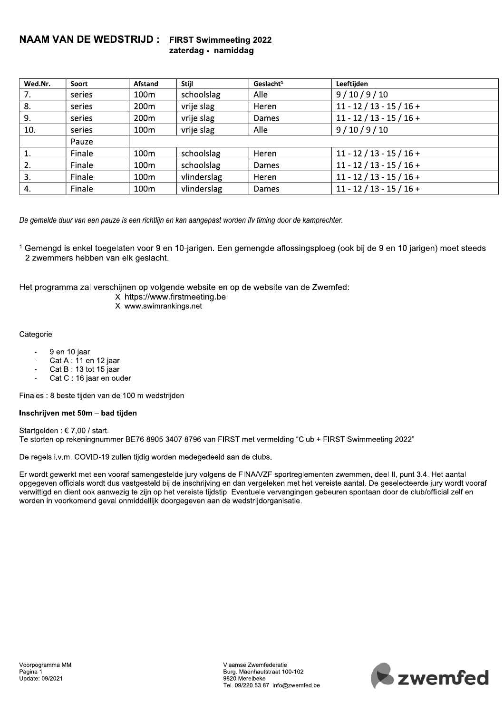## **NAAM VAN DE WEDSTRIJD:** FIRST Swimmeeting 2022

## zaterdag - namiddag

| Wed.Nr. | Soort  | Afstand          | <b>Stiil</b> | Geslacht <sup>1</sup> | Leeftijden                 |
|---------|--------|------------------|--------------|-----------------------|----------------------------|
| 7.      | series | 100m             | schoolslag   | Alle                  | 9/10/9/10                  |
| 8.      | series | 200 <sub>m</sub> | vrije slag   | Heren                 | $11 - 12 / 13 - 15 / 16 +$ |
| 9.      | series | 200 <sub>m</sub> | vrije slag   | Dames                 | $11 - 12 / 13 - 15 / 16 +$ |
| 10.     | series | 100 <sub>m</sub> | vrije slag   | Alle                  | 9/10/9/10                  |
|         | Pauze  |                  |              |                       |                            |
|         | Finale | 100 <sub>m</sub> | schoolslag   | Heren                 | $11 - 12 / 13 - 15 / 16 +$ |
| 2.      | Finale | 100m             | schoolslag   | Dames                 | $11 - 12 / 13 - 15 / 16 +$ |
| 3.      | Finale | 100 <sub>m</sub> | vlinderslag  | Heren                 | $11 - 12 / 13 - 15 / 16 +$ |
| 4.      | Finale | 100m             | vlinderslag  | Dames                 | $11 - 12 / 13 - 15 / 16 +$ |

De gemelde duur van een pauze is een richtlijn en kan aangepast worden ifv timing door de kamprechter.

<sup>1</sup> Gemengd is enkel toegelaten voor 9 en 10-jarigen. Een gemengde aflossingsploeg (ook bij de 9 en 10 jarigen) moet steeds 2 zwemmers hebben van elk geslacht.

Het programma zal verschijnen op volgende website en op de website van de Zwemfed:

- X https://www.firstmeeting.be
- X www.swimrankings.net

#### Categorie

- 9 en 10 jaar
- Cat A : 11 en 12 jaar  $\overline{\phantom{a}}$
- Cat B: 13 tot 15 jaar
- Cat C: 16 jaar en ouder

Finales : 8 beste tijden van de 100 m wedstrijden

#### Inschrijven met 50m - bad tijden

Startgelden: €7,00 / start. Te storten op rekeningnummer BE76 8905 3407 8796 van FIRST met vermelding "Club + FIRST Swimmeeting 2022"

De regels i.v.m. COVID-19 zullen tijdig worden medegedeeld aan de clubs.

Er wordt gewerkt met een vooraf samengestelde jury volgens de FINA/VZF sportreglementen zwemmen, deel II, punt 3.4. Het aantal opgegeven officials wordt dus vastgesteld bij de inschrijving en dan vergeleken met het vereiste aantal. De geselecteerde jury wordt vooraf verwittigd en dient ook aanwezig te zijn op het vereiste tijdstip. Eventuele vervangingen gebeuren spontaan door de club/official zelf en worden in voorkomend geval onmiddellijk doorgegeven aan de wedstrijdorganisatie.

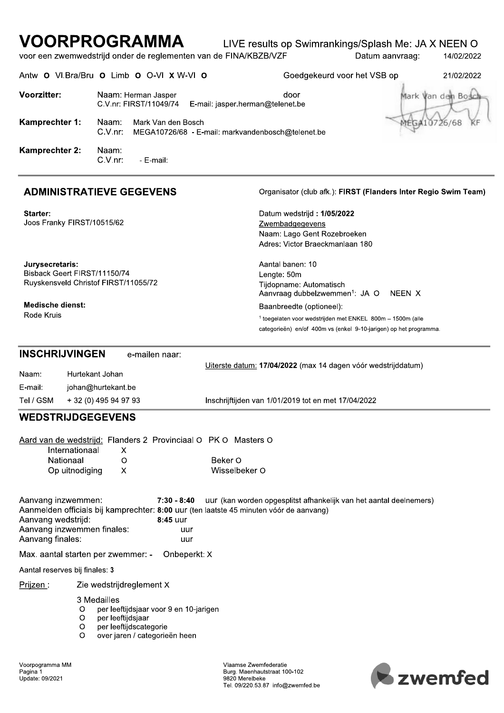## LIVE results op Swimrankings/Splash Me: JA X NEEN O

voor een zwemwedstrijd onder de reglementen van de FINA/KBZB/VZF Datum aanvraag: 14/02/2022

| Antw <b>O</b>         | VI.Bra/Bru O Limb O O-VI X W-VI O                                                              | Goedgekeurd voor het VSB op | 21/02/2022         |
|-----------------------|------------------------------------------------------------------------------------------------|-----------------------------|--------------------|
| <b>Voorzitter:</b>    | Naam: Herman Jasper<br>C.V.nr: FIRST/11049/74<br>E-mail: jasper.herman@telenet.be              | door                        | Mark Van den Bosch |
| Kamprechter 1:        | Mark Van den Bosch<br>Naam:<br>$C.V.nr$ :<br>MEGA10726/68 - E-mail: markvandenbosch@telenet.be |                             | /68                |
| <b>Kamprechter 2:</b> | Naam:<br>$C.V.nr$ :<br>- E-mail:                                                               |                             |                    |

## **ADMINISTRATIEVE GEGEVENS**

Starter: Joos Franky FIRST/10515/62

Jurysecretaris: Bisback Geert FIRST/11150/74 Ruyskensveld Christof FIRST/11055/72

Medische dienst: Rode Kruis

Organisator (club afk.): FIRST (Flanders Inter Regio Swim Team)

Datum wedstrijd: 1/05/2022 Zwembadgegevens Naam: Lago Gent Rozebroeken Adres: Victor Braeckmanlaan 180

Aantal banen: 10 Lengte: 50m Tijdopname: Automatisch Aanvraag dubbelzwemmen<sup>1</sup>: JA O NEEN X Baanbreedte (optioneel):

<sup>1</sup> toegelaten voor wedstrijden met ENKEL 800m - 1500m (alle categorieën) en/of 400m vs (enkel 9-10-jarigen) op het programma.

#### **INSCHRIJVINGEN** e-mailen naar: Naam: Hurtekant Johan

Uiterste datum: 17/04/2022 (max 14 dagen vóór wedstrijddatum)

| E-mail:   | johan@hurtekant.be    |                                                     |
|-----------|-----------------------|-----------------------------------------------------|
| Tel / GSM | + 32 (0) 495 94 97 93 | Inschrijftijden van 1/01/2019 tot en met 17/04/2022 |

## **WEDSTRIJDGEGEVENS**

|                                                              |                                    | Aard van de wedstrijd: Flanders 2 Provinciaal O PK O Masters O                                                                                                                                     |
|--------------------------------------------------------------|------------------------------------|----------------------------------------------------------------------------------------------------------------------------------------------------------------------------------------------------|
|                                                              | Internationaal<br>X                |                                                                                                                                                                                                    |
| Nationaal                                                    | O                                  | Beker O                                                                                                                                                                                            |
|                                                              | Op uitnodiging<br>X                | Wisselbeker O                                                                                                                                                                                      |
| Aanvang inzwemmen:<br>Aanvang wedstrijd:<br>Aanvang finales: | Aanvang inzwemmen finales:         | 7:30 - 8:40 UUT (kan worden opgesplitst afhankelijk van het aantal deelnemers)<br>Aanmelden officials bij kamprechter: 8:00 uur (ten laatste 45 minuten vóór de aanvang)<br>8:45 uur<br>uur<br>uur |
|                                                              | Max. aantal starten per zwemmer: - | Onbeperkt: X                                                                                                                                                                                       |
| Aantal reserves bij finales: 3                               |                                    |                                                                                                                                                                                                    |
| Prijzen :                                                    | Zie wedstrijdreglement X           |                                                                                                                                                                                                    |
|                                                              | 3 Medailles<br>O                   | per leeftijdsjaar voor 9 en 10-jarigen                                                                                                                                                             |

- $\circ$ per leeftiidsiaar
- $\circ$ per leeftijdscategorie
- $\circ$ over jaren / categorieën heen

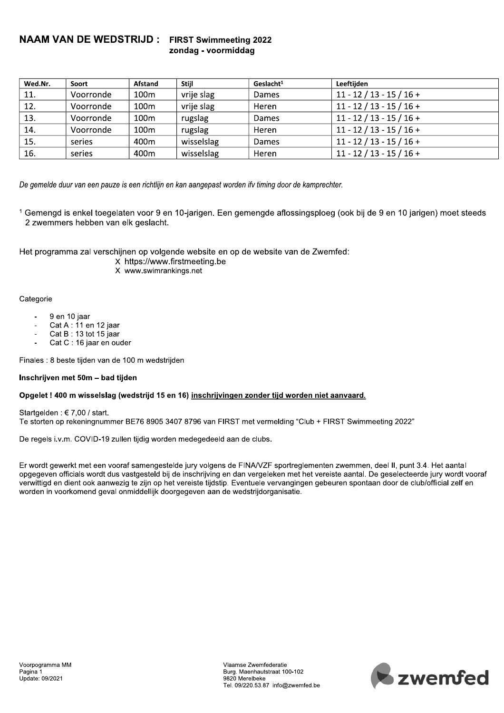### $\,$ NAAM VAN DE WEDSTRIJD : FIRST Swimmeeting 2022 zondag - voormiddag

| Wed.Nr. | Soort     | <b>Afstand</b>   | <b>Stiil</b> | Geslacht <sup>1</sup> | Leeftijden                 |
|---------|-----------|------------------|--------------|-----------------------|----------------------------|
| 11.     | Voorronde | 100m             | vrije slag   | Dames                 | $11 - 12 / 13 - 15 / 16 +$ |
| 12.     | Voorronde | 100 <sub>m</sub> | vrije slag   | Heren                 | $11 - 12 / 13 - 15 / 16 +$ |
| 13.     | Voorronde | 100 <sub>m</sub> | rugslag      | <b>Dames</b>          | $11 - 12 / 13 - 15 / 16 +$ |
| 14.     | Voorronde | 100 <sub>m</sub> | rugslag      | Heren                 | $11 - 12 / 13 - 15 / 16 +$ |
| 15.     | series    | 400m             | wisselslag   | Dames                 | $11 - 12 / 13 - 15 / 16 +$ |
| 16.     | series    | 400m             | wisselslag   | Heren                 | $11 - 12 / 13 - 15 / 16 +$ |

De gemelde duur van een pauze is een richtlijn en kan aangepast worden ifv timing door de kamprechter.

 $^\intercal$  Gemengd is enkel toegelaten voor 9 en 10-jarigen. Een gemengde aflossingsploeg (ook bij de 9 en 10 jarigen) moet steeds 2 zwemmers nebben van eik geslacht.

 $\mathbb{R}^2$ Het programma zai verschijnen op volgende website en op de website van de Zwemfed:

- X https://www.firstmeeting.be
- X www.swimrankings.net

## Categorie

- $-9$  en 10 jaar<br> $-6$ at A : 11 e
- Cat A : 11 en 12 jaar
- $\text{Cat } \mathbf{B}$ : 13 tot 15 jaar
- $\cdot$  Cat C : 16 jaar en ouder

 $\overline{\phantom{a}}$ Finales : 8 beste tijden van de 100 m wedstrijden

### Inschrijven met 50m - bad tijden

#### - Opgelet ! 400 m wisselsiag (wedstrijd 15 en 16) <u>inschrijvingen zonder tijd worden niet aanvaard.</u>

Startgelden:  $€ 7,00$  / start. Te storten op rekeningnummer BE76 8905 3407 8796 van FIRST met vermelding "Club + FIRST Swimmeeting 2022"

 $\mathbb{R}^2$ De regels i.v.m. COVID-19 zullen tijdig worden medegedeeld aan de clubs.

Lr wordt gewerkt met een vooraf samengestelde jury volgens de FINA/VZF sportreglementen zwemmen, deel II, punt 3.4. Het aantal opgegeven omclais wordt dus vastgesteid bij de inschrijving en dan vergeleken met het vereiste aantal. De geselecteerde jury wordt vooraf verwittigd en dient ook aanwezig te zijn op het vereiste tijdstip. Eventuele vervangingen gebeuren spontaan door de club/official zeif en worden in voorkomend geval onmiddellijk doorgegeven aan de wedstrijdorganisatie.

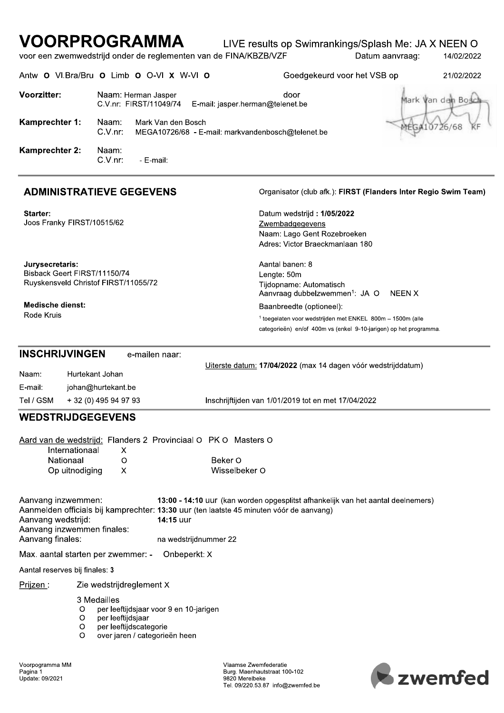## LIVE results op Swimrankings/Splash Me: JA X NEEN O

voor een zwemwedstrijd onder de reglementen van de FINA/KBZB/VZF Datum aanvraag: 14/02/2022

Antw O VI.Bra/Bru O Limb O O-VI X W-VI O

Goedgekeurd voor het VSB op

21/02/2022

| <b>Voorzitter:</b>                                                                         | Naam: Herman Jasper<br>C.V.nr: FIRST/11049/74                       | door<br>E-mail: jasper.herman@telenet.be                                                                                                                                    | Mark Van dan Bosch                                              |
|--------------------------------------------------------------------------------------------|---------------------------------------------------------------------|-----------------------------------------------------------------------------------------------------------------------------------------------------------------------------|-----------------------------------------------------------------|
| Kamprechter 1:                                                                             | Naam:<br>Mark Van den Bosch<br>$C.V.nr$ :                           | MEGA10726/68 - E-mail: markvandenbosch@telenet.be                                                                                                                           | MEGA10726/68                                                    |
| <b>Kamprechter 2:</b>                                                                      | Naam:<br>C.V.nr:<br>- E-mail:                                       |                                                                                                                                                                             |                                                                 |
|                                                                                            | <b>ADMINISTRATIEVE GEGEVENS</b>                                     |                                                                                                                                                                             | Organisator (club afk.): FIRST (Flanders Inter Regio Swim Team) |
| Starter:<br>Joos Franky FIRST/10515/62                                                     |                                                                     | Datum wedstrijd: 1/05/2022<br>Zwembadgegevens<br>Naam: Lago Gent Rozebroeken<br>Adres: Victor Braeckmanlaan 180                                                             |                                                                 |
| Jurysecretaris:<br>Bisback Geert FIRST/11150/74                                            | Ruyskensveld Christof FIRST/11055/72                                | Aantal banen: 8<br>Lengte: 50m<br>Tijdopname: Automatisch<br>Aanvraag dubbelzwemmen <sup>1</sup> : JA O                                                                     | NEEN X                                                          |
| <b>Medische dienst:</b><br>Rode Kruis                                                      |                                                                     | Baanbreedte (optioneel):<br><sup>1</sup> toegelaten voor wedstrijden met ENKEL 800m - 1500m (alle<br>categorieën) en/of 400m vs (enkel 9-10-jarigen) op het programma.      |                                                                 |
| <b>INSCHRIJVINGEN</b><br>Naam:                                                             | e-mailen naar:<br>Hurtekant Johan                                   | Uiterste datum: 17/04/2022 (max 14 dagen vóór wedstrijddatum)                                                                                                               |                                                                 |
| E-mail:<br>Tel / GSM                                                                       | johan@hurtekant.be<br>+ 32 (0) 495 94 97 93                         | Inschrijftijden van 1/01/2019 tot en met 17/04/2022                                                                                                                         |                                                                 |
| <b>WEDSTRIJDGEGEVENS</b>                                                                   |                                                                     |                                                                                                                                                                             |                                                                 |
| Internationaal                                                                             | Aard van de wedstrijd: Flanders 2 Provinciaal O PK O Masters O<br>X |                                                                                                                                                                             |                                                                 |
| Nationaal<br>Op uitnodiging                                                                | O<br>X                                                              | Beker O<br>Wisselbeker O                                                                                                                                                    |                                                                 |
| Aanvang inzwemmen:<br>Aanvang wedstrijd:<br>Aanvang inzwemmen finales:<br>Aanvang finales: | 14:15 uur<br>na wedstrijdnummer 22                                  | 13:00 - 14:10 uur (kan worden opgesplitst afhankelijk van het aantal deelnemers)<br>Aanmelden officials bij kamprechter: 13:30 uur (ten laatste 45 minuten vóór de aanvang) |                                                                 |
|                                                                                            | Max. aantal starten per zwemmer: -<br>Onbeperkt: X                  |                                                                                                                                                                             |                                                                 |
| Aantal reserves bij finales: 3                                                             |                                                                     |                                                                                                                                                                             |                                                                 |
| Prijzen:                                                                                   | Zie wedstrijdreglement X                                            |                                                                                                                                                                             |                                                                 |

3 Medailles

- per leeftijdsjaar voor 9 en 10-jarigen  $\circ$
- per leeftijdsjaar  $\circ$
- $\circ$ per leeftijdscategorie
- $\circ$ over jaren / categorieën heen

Vlaamse Zwemfederatie Burg. Maenhautstraat 100-102<br>9820 Merelbeke Tel. 09/220.53.87 info@zwemfed.be

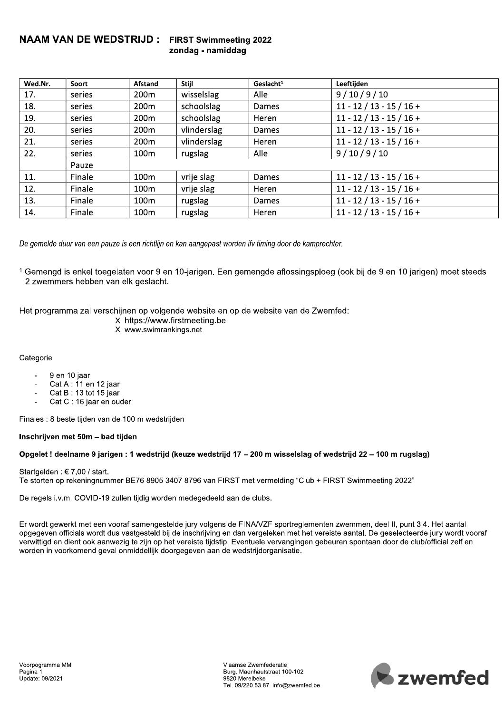#### $\overline{N}$ AAM VAN DE WEDSTRIJD : FIRST Swimmeeting 2022 zondag - namiddag

| Wed.Nr. | Soort  | Afstand          | <b>Stiil</b> | Geslacht <sup>1</sup> | Leeftijden                 |
|---------|--------|------------------|--------------|-----------------------|----------------------------|
| 17.     | series | 200 <sub>m</sub> | wisselslag   | Alle                  | 9/10/9/10                  |
| 18.     | series | 200 <sub>m</sub> | schoolslag   | Dames                 | $11 - 12 / 13 - 15 / 16 +$ |
| 19.     | series | 200 <sub>m</sub> | schoolslag   | Heren                 | $11 - 12 / 13 - 15 / 16 +$ |
| 20.     | series | 200 <sub>m</sub> | vlinderslag  | Dames                 | $11 - 12 / 13 - 15 / 16 +$ |
| 21.     | series | 200 <sub>m</sub> | vlinderslag  | Heren                 | $11 - 12 / 13 - 15 / 16 +$ |
| 22.     | series | 100 <sub>m</sub> | rugslag      | Alle                  | 9/10/9/10                  |
|         | Pauze  |                  |              |                       |                            |
| 11.     | Finale | 100 <sub>m</sub> | vrije slag   | Dames                 | $11 - 12 / 13 - 15 / 16 +$ |
| 12.     | Finale | 100m             | vrije slag   | Heren                 | $11 - 12 / 13 - 15 / 16 +$ |
| 13.     | Finale | 100 <sub>m</sub> | rugslag      | Dames                 | $11 - 12 / 13 - 15 / 16 +$ |
| 14.     | Finale | 100 <sub>m</sub> | rugslag      | Heren                 | $11 - 12 / 13 - 15 / 16 +$ |

De gemelde duur van een pauze is een richtlijn en kan aangepast worden ifv timing door de kamprechter.

 $^\intercal$  Gemengd is enkel toegelaten voor 9 en 10-jarigen. Een gemengde aflossingsploeg (ook bij de 9 en 10 jarigen) moet steeds *z* zwemmers nebben van eik geslacht.

 $\mathbf{r}$ Het programma zai verschijnen op volgende website en op de website van de Zwemfed:

X https://www.firstmeeting.be

X www.swimrankings.net

Categorie

- $-9$  en 10 jaar<br> $-6$ at A : 11 e
- Cat A : 11 en 12 jaar
- Cat B: 13 tot 15 jaar
- Cat C: 16 jaar en ouder

 $\mathbb{L}$ Finales : 8 beste tijden van de 100 m wedstrijden

#### Inschrijven met 50m - bad tijden

#### - Opgelet ! deelhame 9 jarigen : 1 wedstrijd (keuze wedstrijd 17 – 200 m wisselslag of wedstrijd 22 – 100 m rugslag)

Startgelden:  $€$  7,00 / start. Te storten op rekeningnummer BE76 8905 3407 8796 van FIRST met vermelding "Club + FIRST Swimmeeting 2022"

 $\mathbf{r}$ De regels I.V.m. COVID-19 zullen tijdig worden medegedeeld aan de clubs.

 $\pm$ r wordt gewerkt met een vooraf samengesteide jury volgens de FINA/VZF sportregiementen zwemmen, deel II, punt 3.4. Het aantal opgegeven officials wordt dus vastgesteid bij de inschrijving en dan verelstemente eantal. De geselecteerde jury wordt vooraf verwittigd en dient ook aanwezig te zijn op het vereiste tijdstip. Eventuele vervangingen gebeuren spontaan door de club/official zeif en worden in voorkomend geval onmiddellijk doorgegeven aan de wedstrijdorganisatie.

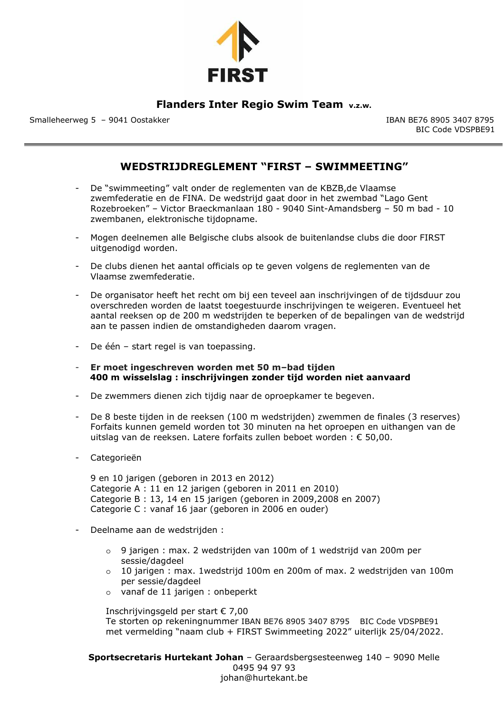

## **Flanders Inter Regio Swim Team v.z.w.**

Smalleheerweg 5 – 9041 OostakkerIBAN BE76 8905 3407 8795

BIC Code VDSPBE91

## **WEDSTRIJDREGLEMENT "FIRST – SWIMMEETING"**

- De "swimmeeting" valt onder de reglementen van de KBZB,de Vlaamse zwemfederatie en de FINA. De wedstrijd gaat door in het zwembad "Lago Gent Rozebroeken" – Victor Braeckmanlaan 180 - 9040 Sint-Amandsberg – 50 m bad - 10 zwembanen, elektronische tijdopname.
- Mogen deelnemen alle Belgische clubs alsook de buitenlandse clubs die door FIRST uitgenodigd worden.
- De clubs dienen het aantal officials op te geven volgens de reglementen van de Vlaamse zwemfederatie.
- De organisator heeft het recht om bij een teveel aan inschrijvingen of de tijdsduur zou overschreden worden de laatst toegestuurde inschrijvingen te weigeren. Eventueel het aantal reeksen op de 200 m wedstrijden te beperken of de bepalingen van de wedstrijd aan te passen indien de omstandigheden daarom vragen.
- De één start regel is van toepassing.
- **Er moet ingeschreven worden met 50 m–bad tijden 400 m wisselslag : inschrijvingen zonder tijd worden niet aanvaard**
- De zwemmers dienen zich tijdig naar de oproepkamer te begeven.
- De 8 beste tijden in de reeksen (100 m wedstrijden) zwemmen de finales (3 reserves) Forfaits kunnen gemeld worden tot 30 minuten na het oproepen en uithangen van de uitslag van de reeksen. Latere forfaits zullen beboet worden : € 50,00.
- Categorieën

9 en 10 jarigen (geboren in 2013 en 2012) Categorie A : 11 en 12 jarigen (geboren in 2011 en 2010) Categorie B : 13, 14 en 15 jarigen (geboren in 2009,2008 en 2007) Categorie C : vanaf 16 jaar (geboren in 2006 en ouder)

- Deelname aan de wedstrijden :
	- o 9 jarigen : max. 2 wedstrijden van 100m of 1 wedstrijd van 200m per sessie/dagdeel
	- o 10 jarigen : max. 1wedstrijd 100m en 200m of max. 2 wedstrijden van 100m per sessie/dagdeel
	- o vanaf de 11 jarigen : onbeperkt

Inschrijvingsgeld per start € 7,00 Te storten op rekeningnummer IBAN BE76 8905 3407 8795BIC Code VDSPBE91 met vermelding "naam club + FIRST Swimmeeting 2022" uiterlijk 25/04/2022.

**Sportsecretaris Hurtekant Johan** – Geraardsbergsesteenweg 140 – 9090 Melle 0495 94 97 93 johan@hurtekant.be